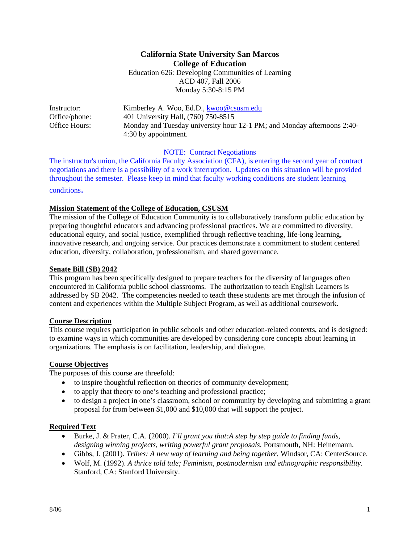### **California State University San Marcos College of Education**  Education 626: Developing Communities of Learning ACD 407, Fall 2006 Monday 5:30-8:15 PM

| Instructor:   | Kimberley A. Woo, Ed.D., kwoo@csusm.edu                                 |
|---------------|-------------------------------------------------------------------------|
| Office/phone: | 401 University Hall, (760) 750-8515                                     |
| Office Hours: | Monday and Tuesday university hour 12-1 PM; and Monday afternoons 2:40- |
|               | 4:30 by appointment.                                                    |

NOTE: Contract Negotiations

The instructor's union, the California Faculty Association (CFA), is entering the second year of contract negotiations and there is a possibility of a work interruption. Updates on this situation will be provided throughout the semester. Please keep in mind that faculty working conditions are student learning conditions.

#### **Mission Statement of the College of Education, CSUSM**

The mission of the College of Education Community is to collaboratively transform public education by preparing thoughtful educators and advancing professional practices. We are committed to diversity, educational equity, and social justice, exemplified through reflective teaching, life-long learning, innovative research, and ongoing service. Our practices demonstrate a commitment to student centered education, diversity, collaboration, professionalism, and shared governance.

#### **Senate Bill (SB) 2042**

This program has been specifically designed to prepare teachers for the diversity of languages often encountered in California public school classrooms. The authorization to teach English Learners is addressed by SB 2042. The competencies needed to teach these students are met through the infusion of content and experiences within the Multiple Subject Program, as well as additional coursework.

## **Course Description**

This course requires participation in public schools and other education-related contexts, and is designed: to examine ways in which communities are developed by considering core concepts about learning in organizations. The emphasis is on facilitation, leadership, and dialogue.

#### **Course Objectives**

The purposes of this course are threefold:

- to inspire thoughtful reflection on theories of community development;
- to apply that theory to one's teaching and professional practice;
- to design a project in one's classroom, school or community by developing and submitting a grant proposal for from between \$1,000 and \$10,000 that will support the project.

#### **Required Text**

- Burke, J. & Prater, C.A. (2000). *I'll grant you that:A step by step guide to finding funds, designing winning projects, writing powerful grant proposals.* Portsmouth, NH: Heinemann.
- Gibbs, J. (2001). *Tribes: A new way of learning and being together.* Windsor, CA: CenterSource.
- Wolf, M. (1992). *A thrice told tale; Feminism, postmodernism and ethnographic responsibility.*  Stanford, CA: Stanford University.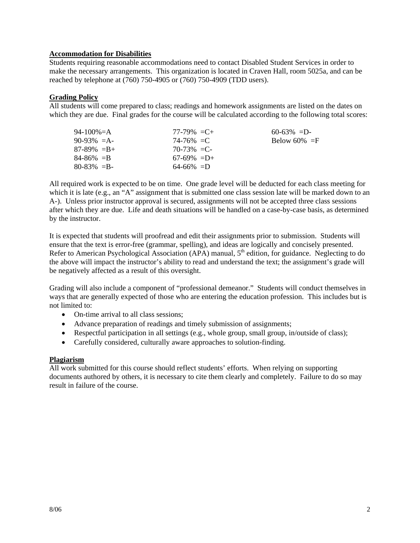#### **Accommodation for Disabilities**

Students requiring reasonable accommodations need to contact Disabled Student Services in order to make the necessary arrangements. This organization is located in Craven Hall, room 5025a, and can be reached by telephone at (760) 750-4905 or (760) 750-4909 (TDD users).

#### **Grading Policy**

All students will come prepared to class; readings and homework assignments are listed on the dates on which they are due. Final grades for the course will be calculated according to the following total scores:

| 94-100%=A       | $77-79\% = C +$ | $60-63\% = D$   |
|-----------------|-----------------|-----------------|
| $90-93\% = A$   | $74 - 76\% = C$ | Below 60% $=$ F |
| $87-89\% = B +$ | $70-73\% = C$   |                 |
| $84 - 86\% = B$ | $67-69\% = D+$  |                 |
| $80 - 83\% = B$ | $64-66\% = D$   |                 |

All required work is expected to be on time. One grade level will be deducted for each class meeting for which it is late (e.g., an "A" assignment that is submitted one class session late will be marked down to an A-). Unless prior instructor approval is secured, assignments will not be accepted three class sessions after which they are due. Life and death situations will be handled on a case-by-case basis, as determined by the instructor.

It is expected that students will proofread and edit their assignments prior to submission. Students will ensure that the text is error-free (grammar, spelling), and ideas are logically and concisely presented. Refer to American Psychological Association (APA) manual, 5<sup>th</sup> edition, for guidance. Neglecting to do the above will impact the instructor's ability to read and understand the text; the assignment's grade will be negatively affected as a result of this oversight.

Grading will also include a component of "professional demeanor." Students will conduct themselves in ways that are generally expected of those who are entering the education profession. This includes but is not limited to:

- On-time arrival to all class sessions;
- Advance preparation of readings and timely submission of assignments;
- Respectful participation in all settings (e.g., whole group, small group, in/outside of class);
- Carefully considered, culturally aware approaches to solution-finding.

#### **Plagiarism**

All work submitted for this course should reflect students' efforts. When relying on supporting documents authored by others, it is necessary to cite them clearly and completely. Failure to do so may result in failure of the course.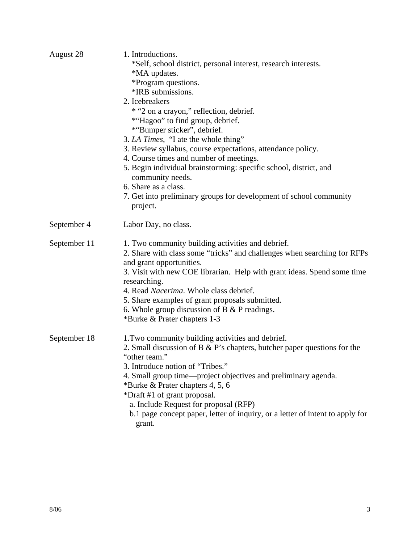| August 28    | 1. Introductions.<br>*Self, school district, personal interest, research interests.<br>*MA updates.<br>*Program questions.<br>*IRB submissions.<br>2. Icebreakers<br>* "2 on a crayon," reflection, debrief.<br>*"Hagoo" to find group, debrief.<br>*"Bumper sticker", debrief.<br>3. LA Times, "I ate the whole thing"<br>3. Review syllabus, course expectations, attendance policy. |  |  |
|--------------|----------------------------------------------------------------------------------------------------------------------------------------------------------------------------------------------------------------------------------------------------------------------------------------------------------------------------------------------------------------------------------------|--|--|
|              |                                                                                                                                                                                                                                                                                                                                                                                        |  |  |
|              |                                                                                                                                                                                                                                                                                                                                                                                        |  |  |
|              |                                                                                                                                                                                                                                                                                                                                                                                        |  |  |
|              | 4. Course times and number of meetings.                                                                                                                                                                                                                                                                                                                                                |  |  |
|              | 5. Begin individual brainstorming: specific school, district, and<br>community needs.                                                                                                                                                                                                                                                                                                  |  |  |
|              | 6. Share as a class.                                                                                                                                                                                                                                                                                                                                                                   |  |  |
|              | 7. Get into preliminary groups for development of school community<br>project.                                                                                                                                                                                                                                                                                                         |  |  |
| September 4  | Labor Day, no class.                                                                                                                                                                                                                                                                                                                                                                   |  |  |
| September 11 | 1. Two community building activities and debrief.<br>2. Share with class some "tricks" and challenges when searching for RFPs<br>and grant opportunities.<br>3. Visit with new COE librarian. Help with grant ideas. Spend some time                                                                                                                                                   |  |  |
|              | researching.                                                                                                                                                                                                                                                                                                                                                                           |  |  |
|              | 4. Read Nacerima. Whole class debrief.                                                                                                                                                                                                                                                                                                                                                 |  |  |
|              | 5. Share examples of grant proposals submitted.                                                                                                                                                                                                                                                                                                                                        |  |  |
|              | 6. Whole group discussion of $B \& P$ readings.                                                                                                                                                                                                                                                                                                                                        |  |  |
|              | *Burke & Prater chapters 1-3                                                                                                                                                                                                                                                                                                                                                           |  |  |
| September 18 | 1. Two community building activities and debrief.<br>2. Small discussion of B $\&$ P's chapters, butcher paper questions for the<br>"other team."                                                                                                                                                                                                                                      |  |  |
|              | 3. Introduce notion of "Tribes."<br>4. Small group time—project objectives and preliminary agenda.<br>*Burke & Prater chapters 4, 5, 6                                                                                                                                                                                                                                                 |  |  |
|              | *Draft #1 of grant proposal.                                                                                                                                                                                                                                                                                                                                                           |  |  |
|              | a. Include Request for proposal (RFP)                                                                                                                                                                                                                                                                                                                                                  |  |  |
|              | b.1 page concept paper, letter of inquiry, or a letter of intent to apply for<br>grant.                                                                                                                                                                                                                                                                                                |  |  |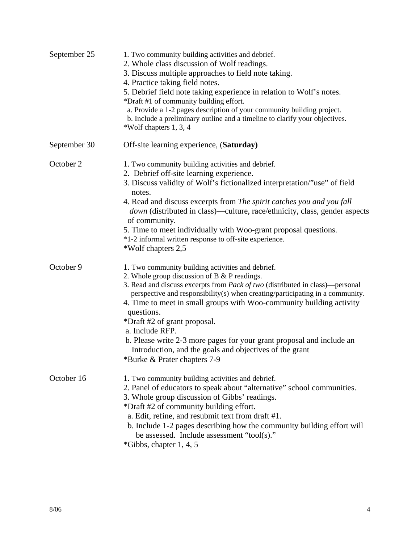| September 25 | 1. Two community building activities and debrief.<br>2. Whole class discussion of Wolf readings.<br>3. Discuss multiple approaches to field note taking.<br>4. Practice taking field notes.<br>5. Debrief field note taking experience in relation to Wolf's notes.<br>*Draft #1 of community building effort.<br>a. Provide a 1-2 pages description of your community building project.<br>b. Include a preliminary outline and a timeline to clarify your objectives.<br>*Wolf chapters 1, 3, 4                                                                                          |
|--------------|--------------------------------------------------------------------------------------------------------------------------------------------------------------------------------------------------------------------------------------------------------------------------------------------------------------------------------------------------------------------------------------------------------------------------------------------------------------------------------------------------------------------------------------------------------------------------------------------|
| September 30 | Off-site learning experience, (Saturday)                                                                                                                                                                                                                                                                                                                                                                                                                                                                                                                                                   |
| October 2    | 1. Two community building activities and debrief.<br>2. Debrief off-site learning experience.<br>3. Discuss validity of Wolf's fictionalized interpretation/"use" of field<br>notes.<br>4. Read and discuss excerpts from The spirit catches you and you fall<br><i>down</i> (distributed in class)—culture, race/ethnicity, class, gender aspects<br>of community.<br>5. Time to meet individually with Woo-grant proposal questions.<br>*1-2 informal written response to off-site experience.<br>*Wolf chapters 2,5                                                                     |
| October 9    | 1. Two community building activities and debrief.<br>2. Whole group discussion of $B \& P$ readings.<br>3. Read and discuss excerpts from <i>Pack of two</i> (distributed in class)—personal<br>perspective and responsibility(s) when creating/participating in a community.<br>4. Time to meet in small groups with Woo-community building activity<br>questions.<br>*Draft #2 of grant proposal.<br>a. Include RFP.<br>b. Please write 2-3 more pages for your grant proposal and include an<br>Introduction, and the goals and objectives of the grant<br>*Burke & Prater chapters 7-9 |
| October 16   | 1. Two community building activities and debrief.<br>2. Panel of educators to speak about "alternative" school communities.<br>3. Whole group discussion of Gibbs' readings.<br>*Draft #2 of community building effort.<br>a. Edit, refine, and resubmit text from draft #1.<br>b. Include 1-2 pages describing how the community building effort will<br>be assessed. Include assessment "tool(s)."<br>$*Gibbs$ , chapter 1, 4, 5                                                                                                                                                         |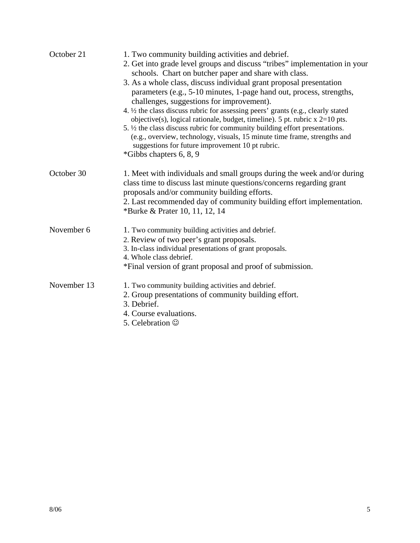| October 21  | 1. Two community building activities and debrief.<br>2. Get into grade level groups and discuss "tribes" implementation in your<br>schools. Chart on butcher paper and share with class.<br>3. As a whole class, discuss individual grant proposal presentation<br>parameters (e.g., 5-10 minutes, 1-page hand out, process, strengths,<br>challenges, suggestions for improvement).<br>4. 1/2 the class discuss rubric for assessing peers' grants (e.g., clearly stated<br>objective(s), logical rationale, budget, timeline). 5 pt. rubric $x = 2 = 10$ pts.<br>5. $\frac{1}{2}$ the class discuss rubric for community building effort presentations.<br>(e.g., overview, technology, visuals, 15 minute time frame, strengths and<br>suggestions for future improvement 10 pt rubric.<br>*Gibbs chapters 6, 8, 9 |
|-------------|-----------------------------------------------------------------------------------------------------------------------------------------------------------------------------------------------------------------------------------------------------------------------------------------------------------------------------------------------------------------------------------------------------------------------------------------------------------------------------------------------------------------------------------------------------------------------------------------------------------------------------------------------------------------------------------------------------------------------------------------------------------------------------------------------------------------------|
| October 30  | 1. Meet with individuals and small groups during the week and/or during<br>class time to discuss last minute questions/concerns regarding grant<br>proposals and/or community building efforts.<br>2. Last recommended day of community building effort implementation.<br>*Burke & Prater 10, 11, 12, 14                                                                                                                                                                                                                                                                                                                                                                                                                                                                                                             |
| November 6  | 1. Two community building activities and debrief.<br>2. Review of two peer's grant proposals.<br>3. In-class individual presentations of grant proposals.<br>4. Whole class debrief.<br>*Final version of grant proposal and proof of submission.                                                                                                                                                                                                                                                                                                                                                                                                                                                                                                                                                                     |
| November 13 | 1. Two community building activities and debrief.<br>2. Group presentations of community building effort.<br>3. Debrief.<br>4. Course evaluations.<br>5. Celebration $\odot$                                                                                                                                                                                                                                                                                                                                                                                                                                                                                                                                                                                                                                          |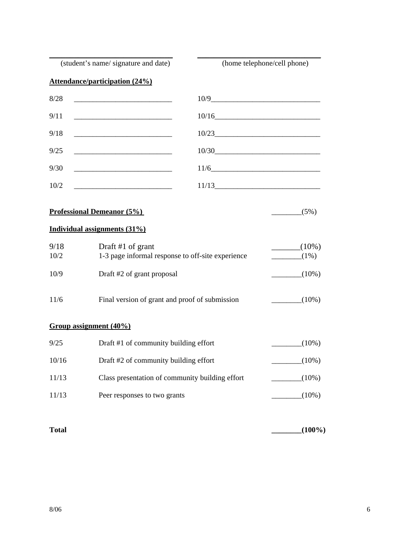| (student's name/signature and date)       |                                                                                                                      | (home telephone/cell phone) |
|-------------------------------------------|----------------------------------------------------------------------------------------------------------------------|-----------------------------|
|                                           | <b>Attendance/participation (24%)</b>                                                                                |                             |
| 8/28                                      |                                                                                                                      |                             |
| 9/11                                      |                                                                                                                      | 10/16                       |
| 9/18                                      |                                                                                                                      | 10/23                       |
| 9/25                                      |                                                                                                                      | 10/30                       |
| 9/30                                      |                                                                                                                      | 11/6                        |
| 10/2                                      | <u> 1989 - Johann John Harry Harry Harry Harry Harry Harry Harry Harry Harry Harry Harry Harry Harry Harry Harry</u> | 11/13                       |
| <b>Professional Demeanor (5%)</b><br>(5%) |                                                                                                                      |                             |
|                                           | Individual assignments (31%)                                                                                         |                             |
| 9/18<br>10/2                              | Draft #1 of grant<br>1-3 page informal response to off-site experience                                               | $(10\%)$<br>$(1\%)$         |
| 10/9                                      | Draft #2 of grant proposal                                                                                           | $(10\%)$                    |
| 11/6                                      | Final version of grant and proof of submission<br>$\frac{10\%}{2}$                                                   |                             |
| Group assignment (40%)                    |                                                                                                                      |                             |
| 9/25                                      | Draft #1 of community building effort                                                                                | $(10\%)$                    |
| 10/16                                     | Draft #2 of community building effort<br>$(10\%)$                                                                    |                             |
| 11/13                                     | Class presentation of community building effort<br>$(10\%)$                                                          |                             |
| 11/13                                     | Peer responses to two grants                                                                                         | $(10\%)$                    |

**Total \_\_\_\_\_\_\_\_(100%)**